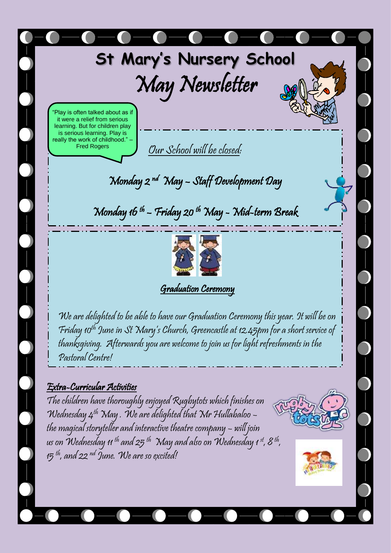

May Newsletter

Play is often talked about as if it were a relief from serious learning. But for children play is serious learning. Play is really the work of childhood." Fred Rogers

Our School will be closed:

Monday 2 nd May – Staff Development Day

Monday 16 th – Friday 20 th May - Mid-term Break



Graduation Ceremony

We are delighted to be able to have our Graduation Ceremony this year. It will be on Friday 10th June in St Mary's Church, Greencastle at 12.45pm for a short service of thanksgiving. Afterwards you are welcome to join us for light refreshments in the Pastoral Centre!

#### Extra-Curricular Activities

The children have thoroughly enjoyed Rugbytots which finishes on Wednesday  $4^{th}$  May. We are delighted that Mr Hullabaloo – the magical storyteller and interactive theatre company – will join  $\sim$ us on Wednesday 11 <sup>th</sup> and 25 <sup>th</sup> May and also on Wednesday 1 <sup>st</sup>, 8 <sup>th</sup>,  $15$ <sup>th</sup>, and 22 <sup>nd</sup> June. We are so excited!



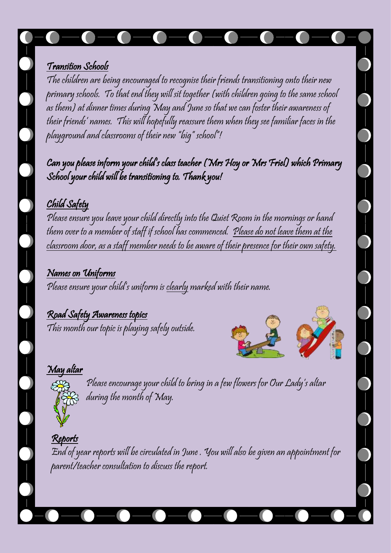## Transition Schools

The children are being encouraged to recognise their friends transitioning onto their new primary schools. To that end they will sit together (with children going to the same school as them) at dinner times during May and June so that we can foster their awareness of their friends' names. This will hopefully reassure them when they see familiar faces in the playground and classrooms of their new "big" school"!

Can you please inform your child's class teacher (Mrs Hoy or Mrs Friel) which Primary School your child will be transitioning to. Thank you!

## Child Safety

Please ensure you leave your child directly into the Quiet Room in the mornings or hand them over to a member of staff if school has commenced. Please do not leave them at the classroom door, as a staff member needs to be aware of their presence for their own safety.

Names on Uniforms Please ensure your child's uniform is clearly marked with their name.

# Road Safety Awareness topics

This month our topic is playing safely outside.



## May altar



Please encourage your child to bring in a few flowers for Our Lady's altar during the month of May.

Reports End of year reports will be circulated in June . You will also be given an appointment for parent/teacher consultation to discuss the report.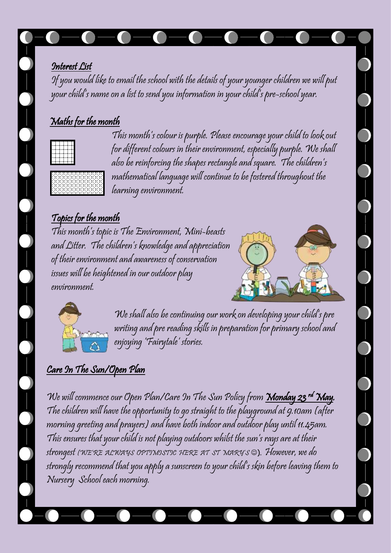### Interest List

If you would like to email the school with the details of your younger children we will put your child's name on a list to send you information in your child's pre-school year.

# Maths for the month



This month's colour is purple. Please encourage your child to look out for different colours in their environment, especially purple. We shall also be reinforcing the shapes rectangle and square. The children's mathematical language will continue to be fostered throughout the learning environment.

# Topics for the month

This month's topic is The Environment, Mini-beasts and Litter. The children's knowledge and appreciation of their environment and awareness of conservation issues will be heightened in our outdoor play environment.





We shall also be continuing our work on developing your child's pre writing and pre reading skills in preparation for primary school and enjoying 'Fairytale' stories.

# Care In The Sun/Open Plan

We will commence our Open Plan/Care In The Sun Policy from <u>Mon**day 23 <sup>rd</sup> May**</u>. The children will have the opportunity to go straight to the playground at 9.10am (after morning greeting and prayers) and have both indoor and outdoor play until 11.45am. This ensures that your child is not playing outdoors whilst the sun's rays are at their strongest (WE'RE ALWAYS OPTIMISTIC HERE AT ST MARY'S ®). However, we do strongly recommend that you apply a sunscreen to your child's skin before leaving them to Nursery School each morning.